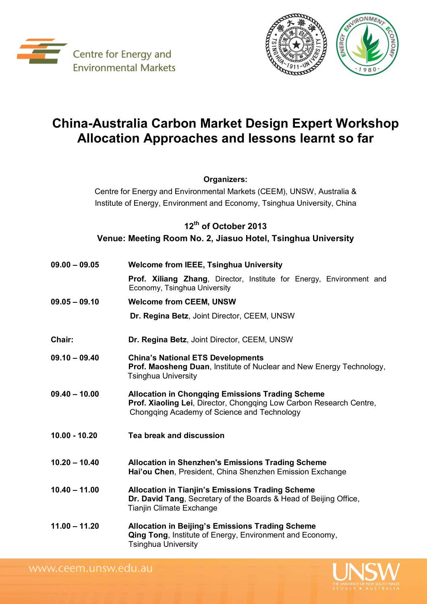



## **China-Australia Carbon Market Design Expert Workshop Allocation Approaches and lessons learnt so far**

## **Organizers:**

Centre for Energy and Environmental Markets (CEEM), UNSW, Australia & Institute of Energy, Environment and Economy, Tsinghua University, China

## **12 th of October 2013 Venue: Meeting Room No. 2, Jiasuo Hotel, Tsinghua University**

| 09.00 - 09.05   | <b>Welcome from IEEE, Tsinghua University</b>                                                                                                                                 |
|-----------------|-------------------------------------------------------------------------------------------------------------------------------------------------------------------------------|
|                 | <b>Prof. Xiliang Zhang, Director, Institute for Energy, Environment and</b><br>Economy, Tsinghua University                                                                   |
| $09.05 - 09.10$ | <b>Welcome from CEEM, UNSW</b>                                                                                                                                                |
|                 | Dr. Regina Betz, Joint Director, CEEM, UNSW                                                                                                                                   |
| Chair:          | Dr. Regina Betz, Joint Director, CEEM, UNSW                                                                                                                                   |
| 09.10 - 09.40   | <b>China's National ETS Developments</b><br>Prof. Maosheng Duan, Institute of Nuclear and New Energy Technology,<br><b>Tsinghua University</b>                                |
| 09.40 - 10.00   | <b>Allocation in Chongqing Emissions Trading Scheme</b><br>Prof. Xiaoling Lei, Director, Chongqing Low Carbon Research Centre,<br>Chongqing Academy of Science and Technology |
| 10.00 - 10.20   | Tea break and discussion                                                                                                                                                      |
| $10.20 - 10.40$ | <b>Allocation in Shenzhen's Emissions Trading Scheme</b><br>Hai'ou Chen, President, China Shenzhen Emission Exchange                                                          |
| $10.40 - 11.00$ | <b>Allocation in Tianjin's Emissions Trading Scheme</b><br>Dr. David Tang, Secretary of the Boards & Head of Beijing Office,<br>Tianjin Climate Exchange                      |
| $11.00 - 11.20$ | <b>Allocation in Beijing's Emissions Trading Scheme</b><br>Qing Tong, Institute of Energy, Environment and Economy,<br><b>Tsinghua University</b>                             |